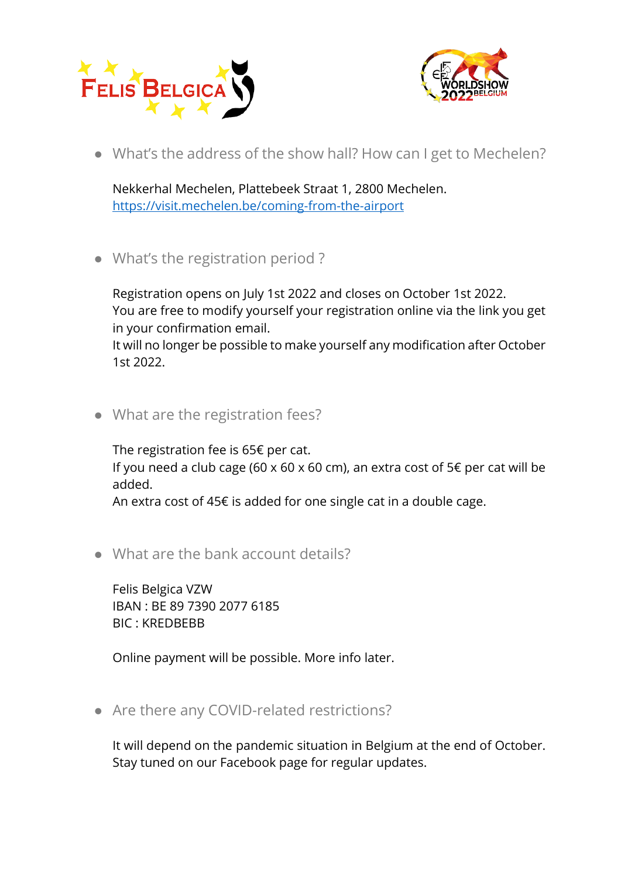



● What's the address of the show hall? How can I get to Mechelen?

Nekkerhal Mechelen, Plattebeek Straat 1, 2800 Mechelen. <https://visit.mechelen.be/coming-from-the-airport>

● What's the registration period ?

Registration opens on July 1st 2022 and closes on October 1st 2022. You are free to modify yourself your registration online via the link you get in your confirmation email.

It will no longer be possible to make yourself any modification after October 1st 2022.

● What are the registration fees?

The registration fee is 65€ per cat. If you need a club cage (60 x 60 x 60 cm), an extra cost of 5€ per cat will be added.

An extra cost of 45€ is added for one single cat in a double cage.

● What are the bank account details?

Felis Belgica VZW IBAN : BE 89 7390 2077 6185 BIC : KREDBEBB

Online payment will be possible. More info later.

• Are there any COVID-related restrictions?

It will depend on the pandemic situation in Belgium at the end of October. Stay tuned on our Facebook page for regular updates.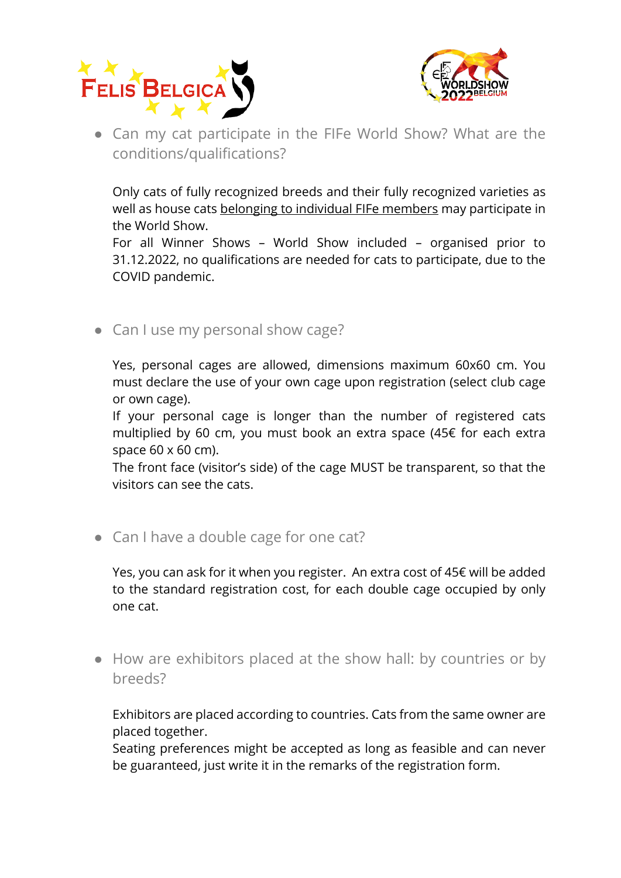



● Can my cat participate in the FIFe World Show? What are the conditions/qualifications?

Only cats of fully recognized breeds and their fully recognized varieties as well as house cats belonging to individual FIFe members may participate in the World Show.

For all Winner Shows – World Show included – organised prior to 31.12.2022, no qualifications are needed for cats to participate, due to the COVID pandemic.

• Can I use my personal show cage?

Yes, personal cages are allowed, dimensions maximum 60x60 cm. You must declare the use of your own cage upon registration (select club cage or own cage).

If your personal cage is longer than the number of registered cats multiplied by 60 cm, you must book an extra space (45€ for each extra space 60 x 60 cm).

The front face (visitor's side) of the cage MUST be transparent, so that the visitors can see the cats.

• Can I have a double cage for one cat?

Yes, you can ask for it when you register. An extra cost of 45€ will be added to the standard registration cost, for each double cage occupied by only one cat.

● How are exhibitors placed at the show hall: by countries or by breeds?

Exhibitors are placed according to countries. Cats from the same owner are placed together.

Seating preferences might be accepted as long as feasible and can never be guaranteed, just write it in the remarks of the registration form.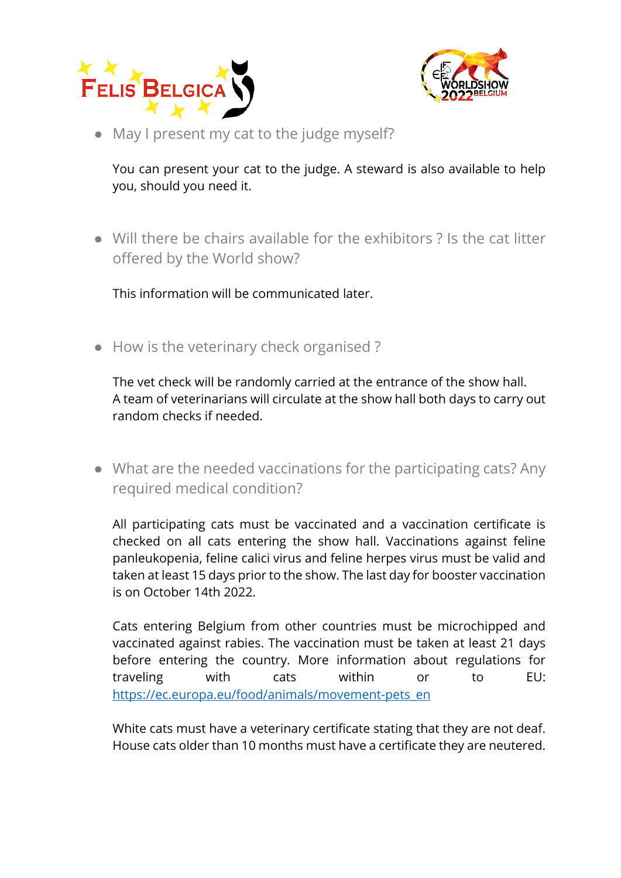



• May I present my cat to the judge myself?

You can present your cat to the judge. A steward is also available to help you, should you need it.

● Will there be chairs available for the exhibitors ? Is the cat litter offered by the World show?

This information will be communicated later.

● How is the veterinary check organised ?

The vet check will be randomly carried at the entrance of the show hall. A team of veterinarians will circulate at the show hall both days to carry out random checks if needed.

● What are the needed vaccinations for the participating cats? Any required medical condition?

All participating cats must be vaccinated and a vaccination certificate is checked on all cats entering the show hall. Vaccinations against feline panleukopenia, feline calici virus and feline herpes virus must be valid and taken at least 15 days prior to the show. The last day for booster vaccination is on October 14th 2022.

Cats entering Belgium from other countries must be microchipped and vaccinated against rabies. The vaccination must be taken at least 21 days before entering the country. More information about regulations for traveling with cats within or to EU: [https://ec.europa.eu/food/animals/movement-pets\\_en](https://ec.europa.eu/food/animals/movement-pets_en)

White cats must have a veterinary certificate stating that they are not deaf. House cats older than 10 months must have a certificate they are neutered.